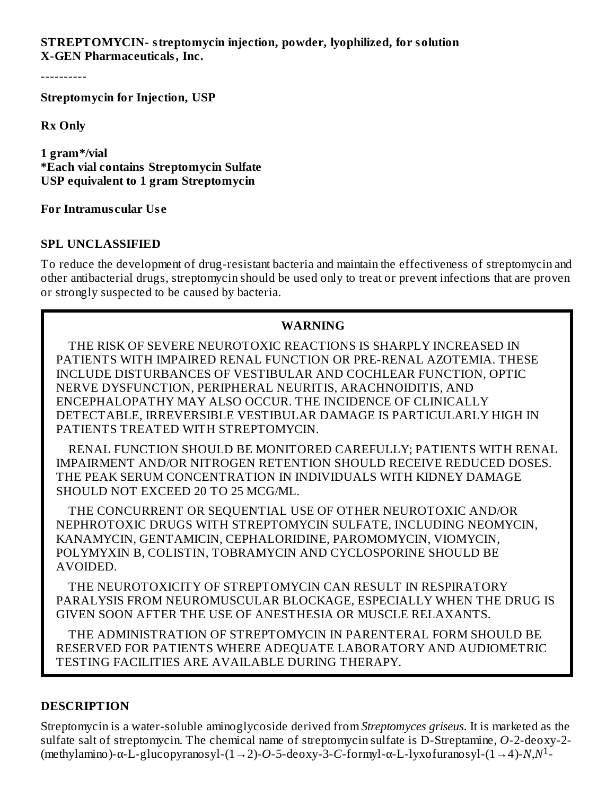**STREPTOMYCIN- streptomycin injection, powder, lyophilized, for solution X-GEN Pharmaceuticals, Inc.**

----------

**Streptomycin for Injection, USP**

**Rx Only**

**1 gram\*/vial \*Each vial contains Streptomycin Sulfate USP equivalent to 1 gram Streptomycin**

**For Intramus cular Us e**

#### **SPL UNCLASSIFIED**

To reduce the development of drug-resistant bacteria and maintain the effectiveness of streptomycin and other antibacterial drugs, streptomycin should be used only to treat or prevent infections that are proven or strongly suspected to be caused by bacteria.

#### **WARNING**

THE RISK OF SEVERE NEUROTOXIC REACTIONS IS SHARPLY INCREASED IN PATIENTS WITH IMPAIRED RENAL FUNCTION OR PRE-RENAL AZOTEMIA. THESE INCLUDE DISTURBANCES OF VESTIBULAR AND COCHLEAR FUNCTION, OPTIC NERVE DYSFUNCTION, PERIPHERAL NEURITIS, ARACHNOIDITIS, AND ENCEPHALOPATHY MAY ALSO OCCUR. THE INCIDENCE OF CLINICALLY DETECTABLE, IRREVERSIBLE VESTIBULAR DAMAGE IS PARTICULARLY HIGH IN PATIENTS TREATED WITH STREPTOMYCIN.

RENAL FUNCTION SHOULD BE MONITORED CAREFULLY; PATIENTS WITH RENAL IMPAIRMENT AND/OR NITROGEN RETENTION SHOULD RECEIVE REDUCED DOSES. THE PEAK SERUM CONCENTRATION IN INDIVIDUALS WITH KIDNEY DAMAGE SHOULD NOT EXCEED 20 TO 25 MCG/ML.

THE CONCURRENT OR SEQUENTIAL USE OF OTHER NEUROTOXIC AND/OR NEPHROTOXIC DRUGS WITH STREPTOMYCIN SULFATE, INCLUDING NEOMYCIN, KANAMYCIN, GENTAMICIN, CEPHALORIDINE, PAROMOMYCIN, VIOMYCIN, POLYMYXIN B, COLISTIN, TOBRAMYCIN AND CYCLOSPORINE SHOULD BE AVOIDED.

THE NEUROTOXICITY OF STREPTOMYCIN CAN RESULT IN RESPIRATORY PARALYSIS FROM NEUROMUSCULAR BLOCKAGE, ESPECIALLY WHEN THE DRUG IS GIVEN SOON AFTER THE USE OF ANESTHESIA OR MUSCLE RELAXANTS.

THE ADMINISTRATION OF STREPTOMYCIN IN PARENTERAL FORM SHOULD BE RESERVED FOR PATIENTS WHERE ADEQUATE LABORATORY AND AUDIOMETRIC TESTING FACILITIES ARE AVAILABLE DURING THERAPY.

#### **DESCRIPTION**

Streptomycin is a water-soluble aminoglycoside derived from *Streptomyces griseus*. It is marketed as the sulfate salt of streptomycin. The chemical name of streptomycin sulfate is D-Streptamine, *O*-2-deoxy-2- (methylamino)-α-L-glucopyranosyl-(1→2)-*O*-5-deoxy-3-*C*-formyl-α-L-lyxofuranosyl-(1→4)-*N,N* - 1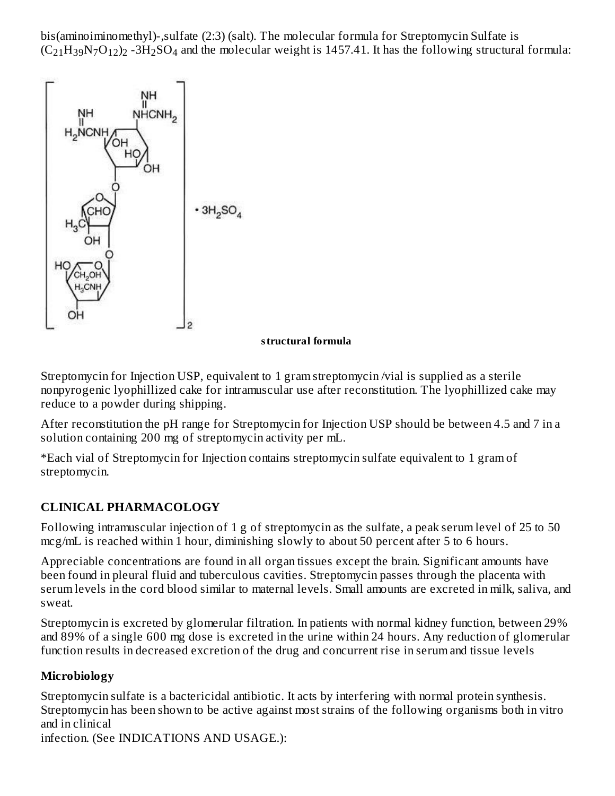bis(aminoiminomethyl)-,sulfate (2:3) (salt). The molecular formula for Streptomycin Sulfate is  $(C_{21}H_{39}N_7O_{12})_2$  -3H<sub>2</sub>SO<sub>4</sub> and the molecular weight is 1457.41. It has the following structural formula:



**structural formula**

Streptomycin for Injection USP, equivalent to 1 gram streptomycin /vial is supplied as a sterile nonpyrogenic lyophillized cake for intramuscular use after reconstitution. The lyophillized cake may reduce to a powder during shipping.

After reconstitution the pH range for Streptomycin for Injection USP should be between 4.5 and 7 in a solution containing 200 mg of streptomycin activity per mL.

\*Each vial of Streptomycin for Injection contains streptomycin sulfate equivalent to 1 gram of streptomycin.

#### **CLINICAL PHARMACOLOGY**

Following intramuscular injection of 1 g of streptomycin as the sulfate, a peak serum level of 25 to 50 mcg/mL is reached within 1 hour, diminishing slowly to about 50 percent after 5 to 6 hours.

Appreciable concentrations are found in all organ tissues except the brain. Significant amounts have been found in pleural fluid and tuberculous cavities. Streptomycin passes through the placenta with serum levels in the cord blood similar to maternal levels. Small amounts are excreted in milk, saliva, and sweat.

Streptomycin is excreted by glomerular filtration. In patients with normal kidney function, between 29% and 89% of a single 600 mg dose is excreted in the urine within 24 hours. Any reduction of glomerular function results in decreased excretion of the drug and concurrent rise in serum and tissue levels

#### **Microbiology**

Streptomycin sulfate is a bactericidal antibiotic. It acts by interfering with normal protein synthesis. Streptomycin has been shown to be active against most strains of the following organisms both in vitro and in clinical

infection. (See INDICATIONS AND USAGE.):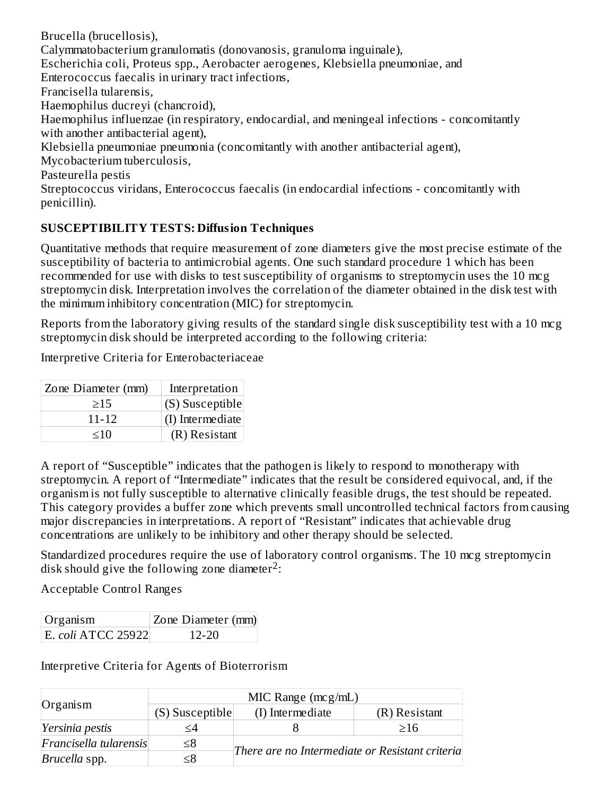Brucella (brucellosis),

Calymmatobacterium granulomatis (donovanosis, granuloma inguinale),

Escherichia coli, Proteus spp., Aerobacter aerogenes, Klebsiella pneumoniae, and

Enterococcus faecalis in urinary tract infections,

Francisella tularensis,

Haemophilus ducreyi (chancroid),

Haemophilus influenzae (in respiratory, endocardial, and meningeal infections - concomitantly with another antibacterial agent),

Klebsiella pneumoniae pneumonia (concomitantly with another antibacterial agent),

Mycobacterium tuberculosis,

Pasteurella pestis

Streptococcus viridans, Enterococcus faecalis (in endocardial infections - concomitantly with penicillin).

#### **SUSCEPTIBILITY TESTS: Diffusion Techniques**

Quantitative methods that require measurement of zone diameters give the most precise estimate of the susceptibility of bacteria to antimicrobial agents. One such standard procedure 1 which has been recommended for use with disks to test susceptibility of organisms to streptomycin uses the 10 mcg streptomycin disk. Interpretation involves the correlation of the diameter obtained in the disk test with the minimum inhibitory concentration (MIC) for streptomycin.

Reports from the laboratory giving results of the standard single disk susceptibility test with a 10 mcg streptomycin disk should be interpreted according to the following criteria:

Interpretive Criteria for Enterobacteriaceae

| Zone Diameter (mm) | Interpretation   |
|--------------------|------------------|
| >15                | (S) Susceptible  |
| 11-12              | (I) Intermediate |
| $<$ 10             | (R) Resistant    |

A report of "Susceptible" indicates that the pathogen is likely to respond to monotherapy with streptomycin. A report of "Intermediate" indicates that the result be considered equivocal, and, if the organism is not fully susceptible to alternative clinically feasible drugs, the test should be repeated. This category provides a buffer zone which prevents small uncontrolled technical factors from causing major discrepancies in interpretations. A report of "Resistant" indicates that achievable drug concentrations are unlikely to be inhibitory and other therapy should be selected.

Standardized procedures require the use of laboratory control organisms. The 10 mcg streptomycin disk should give the following zone diameter<sup>2</sup>:

Acceptable Control Ranges

| <b>Organism</b>    | Zone Diameter (mm) |
|--------------------|--------------------|
| E. coli ATCC 25922 | $12 - 20$          |

Interpretive Criteria for Agents of Bioterrorism

|                        | $MIC$ Range (mcg/mL) |                                                 |               |  |
|------------------------|----------------------|-------------------------------------------------|---------------|--|
| Organism               | (S) Susceptible      | (I) Intermediate                                | (R) Resistant |  |
| Yersinia pestis        | ≤4                   |                                                 | >16           |  |
| Francisella tularensis | ≤ຽ                   |                                                 |               |  |
| Brucella spp.          |                      | There are no Intermediate or Resistant criteria |               |  |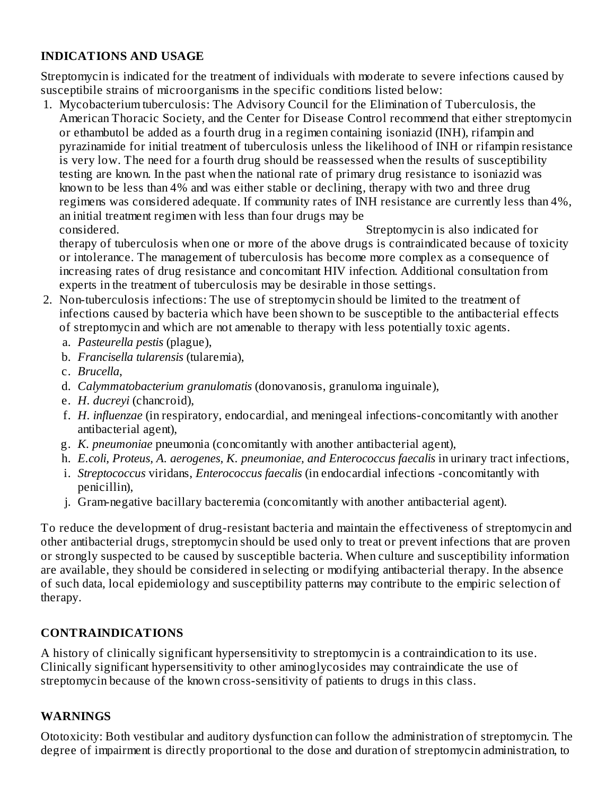#### **INDICATIONS AND USAGE**

Streptomycin is indicated for the treatment of individuals with moderate to severe infections caused by susceptibile strains of microorganisms in the specific conditions listed below:

1. Mycobacterium tuberculosis: The Advisory Council for the Elimination of Tuberculosis, the American Thoracic Society, and the Center for Disease Control recommend that either streptomycin or ethambutol be added as a fourth drug in a regimen containing isoniazid (INH), rifampin and pyrazinamide for initial treatment of tuberculosis unless the likelihood of INH or rifampin resistance is very low. The need for a fourth drug should be reassessed when the results of susceptibility testing are known. In the past when the national rate of primary drug resistance to isoniazid was known to be less than 4% and was either stable or declining, therapy with two and three drug regimens was considered adequate. If community rates of INH resistance are currently less than 4%, an initial treatment regimen with less than four drugs may be

considered. Streptomycin is also indicated for therapy of tuberculosis when one or more of the above drugs is contraindicated because of toxicity or intolerance. The management of tuberculosis has become more complex as a consequence of increasing rates of drug resistance and concomitant HIV infection. Additional consultation from experts in the treatment of tuberculosis may be desirable in those settings.

- 2. Non-tuberculosis infections: The use of streptomycin should be limited to the treatment of infections caused by bacteria which have been shown to be susceptible to the antibacterial effects of streptomycin and which are not amenable to therapy with less potentially toxic agents.
	- a. *Pasteurella pestis* (plague),
	- b. *Francisella tularensis* (tularemia),
	- c. *Brucella*,
	- d. *Calymmatobacterium granulomatis* (donovanosis, granuloma inguinale),
	- e. *H. ducreyi* (chancroid),
	- f. *H. influenzae* (in respiratory, endocardial, and meningeal infections-concomitantly with another antibacterial agent),
	- g. *K. pneumoniae* pneumonia (concomitantly with another antibacterial agent),
	- h. *E.coli, Proteus, A. aerogenes, K. pneumoniae, and Enterococcus faecalis* in urinary tract infections,
	- i. *Streptococcus* viridans, *Enterococcus faecalis* (in endocardial infections -concomitantly with penicillin),
	- j. Gram-negative bacillary bacteremia (concomitantly with another antibacterial agent).

To reduce the development of drug-resistant bacteria and maintain the effectiveness of streptomycin and other antibacterial drugs, streptomycin should be used only to treat or prevent infections that are proven or strongly suspected to be caused by susceptible bacteria. When culture and susceptibility information are available, they should be considered in selecting or modifying antibacterial therapy. In the absence of such data, local epidemiology and susceptibility patterns may contribute to the empiric selection of therapy.

## **CONTRAINDICATIONS**

A history of clinically significant hypersensitivity to streptomycin is a contraindication to its use. Clinically significant hypersensitivity to other aminoglycosides may contraindicate the use of streptomycin because of the known cross-sensitivity of patients to drugs in this class.

## **WARNINGS**

Ototoxicity: Both vestibular and auditory dysfunction can follow the administration of streptomycin. The degree of impairment is directly proportional to the dose and duration of streptomycin administration, to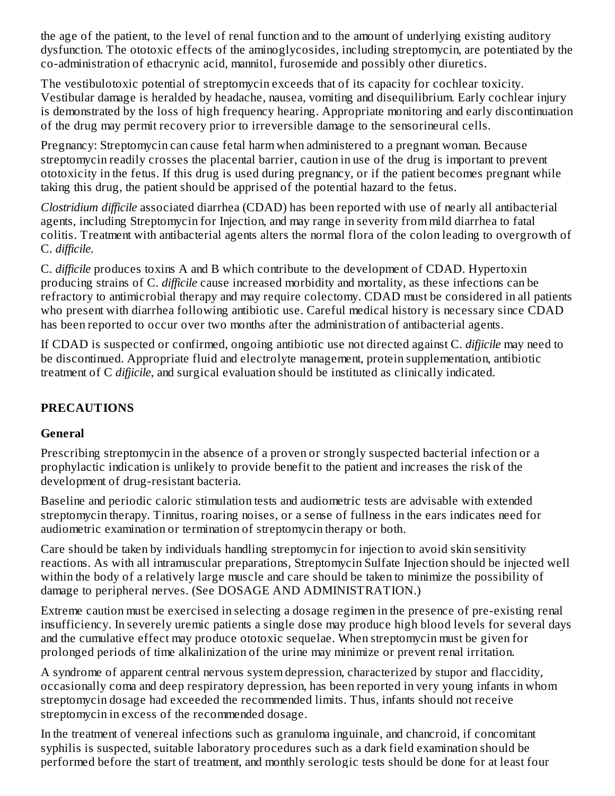the age of the patient, to the level of renal function and to the amount of underlying existing auditory dysfunction. The ototoxic effects of the aminoglycosides, including streptomycin, are potentiated by the co-administration of ethacrynic acid, mannitol, furosemide and possibly other diuretics.

The vestibulotoxic potential of streptomycin exceeds that of its capacity for cochlear toxicity. Vestibular damage is heralded by headache, nausea, vomiting and disequilibrium. Early cochlear injury is demonstrated by the loss of high frequency hearing. Appropriate monitoring and early discontinuation of the drug may permit recovery prior to irreversible damage to the sensorineural cells.

Pregnancy: Streptomycin can cause fetal harm when administered to a pregnant woman. Because streptomycin readily crosses the placental barrier, caution in use of the drug is important to prevent ototoxicity in the fetus. If this drug is used during pregnancy, or if the patient becomes pregnant while taking this drug, the patient should be apprised of the potential hazard to the fetus.

*Clostridium difficile* associated diarrhea (CDAD) has been reported with use of nearly all antibacterial agents, including Streptomycin for Injection, and may range in severity from mild diarrhea to fatal colitis. Treatment with antibacterial agents alters the normal flora of the colon leading to overgrowth of C. *difficile.*

C. *difficile* produces toxins A and B which contribute to the development of CDAD. Hypertoxin producing strains of C. *difficile* cause increased morbidity and mortality, as these infections can be refractory to antimicrobial therapy and may require colectomy. CDAD must be considered in all patients who present with diarrhea following antibiotic use. Careful medical history is necessary since CDAD has been reported to occur over two months after the administration of antibacterial agents.

If CDAD is suspected or confirmed, ongoing antibiotic use not directed against C. *difjicile* may need to be discontinued. Appropriate fluid and electrolyte management, protein supplementation, antibiotic treatment of C *difjicile,* and surgical evaluation should be instituted as clinically indicated.

#### **PRECAUTIONS**

#### **General**

Prescribing streptomycin in the absence of a proven or strongly suspected bacterial infection or a prophylactic indication is unlikely to provide benefit to the patient and increases the risk of the development of drug-resistant bacteria.

Baseline and periodic caloric stimulation tests and audiometric tests are advisable with extended streptomycin therapy. Tinnitus, roaring noises, or a sense of fullness in the ears indicates need for audiometric examination or termination of streptomycin therapy or both.

Care should be taken by individuals handling streptomycin for injection to avoid skin sensitivity reactions. As with all intramuscular preparations, Streptomycin Sulfate Injection should be injected well within the body of a relatively large muscle and care should be taken to minimize the possibility of damage to peripheral nerves. (See DOSAGE AND ADMINISTRATION.)

Extreme caution must be exercised in selecting a dosage regimen in the presence of pre-existing renal insufficiency. In severely uremic patients a single dose may produce high blood levels for several days and the cumulative effect may produce ototoxic sequelae. When streptomycin must be given for prolonged periods of time alkalinization of the urine may minimize or prevent renal irritation.

A syndrome of apparent central nervous system depression, characterized by stupor and flaccidity, occasionally coma and deep respiratory depression, has been reported in very young infants in whom streptomycin dosage had exceeded the recommended limits. Thus, infants should not receive streptomycin in excess of the recommended dosage.

In the treatment of venereal infections such as granuloma inguinale, and chancroid, if concomitant syphilis is suspected, suitable laboratory procedures such as a dark field examination should be performed before the start of treatment, and monthly serologic tests should be done for at least four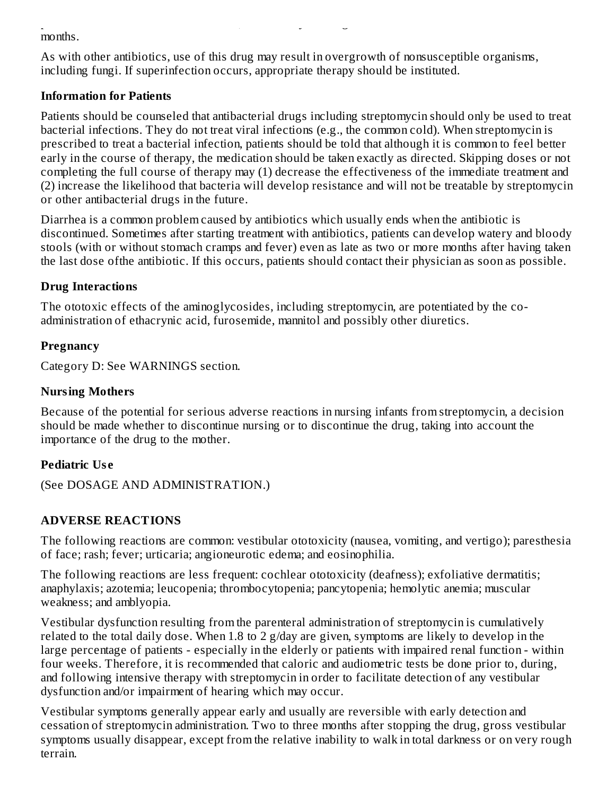performed before the start of treatment, and monthly serologic tests should be done for at least four months.

As with other antibiotics, use of this drug may result in overgrowth of nonsusceptible organisms, including fungi. If superinfection occurs, appropriate therapy should be instituted.

#### **Information for Patients**

Patients should be counseled that antibacterial drugs including streptomycin should only be used to treat bacterial infections. They do not treat viral infections (e.g., the common cold). When streptomycin is prescribed to treat a bacterial infection, patients should be told that although it is common to feel better early in the course of therapy, the medication should be taken exactly as directed. Skipping doses or not completing the full course of therapy may (1) decrease the effectiveness of the immediate treatment and (2) increase the likelihood that bacteria will develop resistance and will not be treatable by streptomycin or other antibacterial drugs in the future.

Diarrhea is a common problem caused by antibiotics which usually ends when the antibiotic is discontinued. Sometimes after starting treatment with antibiotics, patients can develop watery and bloody stools (with or without stomach cramps and fever) even as late as two or more months after having taken the last dose ofthe antibiotic. If this occurs, patients should contact their physician as soon as possible.

#### **Drug Interactions**

The ototoxic effects of the aminoglycosides, including streptomycin, are potentiated by the coadministration of ethacrynic acid, furosemide, mannitol and possibly other diuretics.

#### **Pregnancy**

Category D: See WARNINGS section.

#### **Nursing Mothers**

Because of the potential for serious adverse reactions in nursing infants from streptomycin, a decision should be made whether to discontinue nursing or to discontinue the drug, taking into account the importance of the drug to the mother.

#### **Pediatric Us e**

(See DOSAGE AND ADMINISTRATION.)

#### **ADVERSE REACTIONS**

The following reactions are common: vestibular ototoxicity (nausea, vomiting, and vertigo); paresthesia of face; rash; fever; urticaria; angioneurotic edema; and eosinophilia.

The following reactions are less frequent: cochlear ototoxicity (deafness); exfoliative dermatitis; anaphylaxis; azotemia; leucopenia; thrombocytopenia; pancytopenia; hemolytic anemia; muscular weakness; and amblyopia.

Vestibular dysfunction resulting from the parenteral administration of streptomycin is cumulatively related to the total daily dose. When 1.8 to 2 g/day are given, symptoms are likely to develop in the large percentage of patients - especially in the elderly or patients with impaired renal function - within four weeks. Therefore, it is recommended that caloric and audiometric tests be done prior to, during, and following intensive therapy with streptomycin in order to facilitate detection of any vestibular dysfunction and/or impairment of hearing which may occur.

Vestibular symptoms generally appear early and usually are reversible with early detection and cessation of streptomycin administration. Two to three months after stopping the drug, gross vestibular symptoms usually disappear, except from the relative inability to walk in total darkness or on very rough terrain.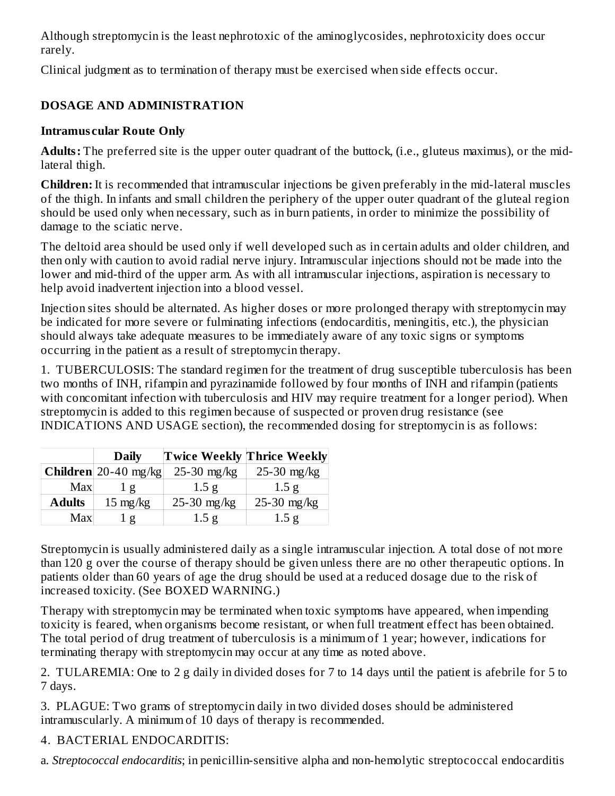Although streptomycin is the least nephrotoxic of the aminoglycosides, nephrotoxicity does occur rarely.

Clinical judgment as to termination of therapy must be exercised when side effects occur.

#### **DOSAGE AND ADMINISTRATION**

#### **Intramus cular Route Only**

**Adults:** The preferred site is the upper outer quadrant of the buttock, (i.e., gluteus maximus), or the midlateral thigh.

**Children:** It is recommended that intramuscular injections be given preferably in the mid-lateral muscles of the thigh. In infants and small children the periphery of the upper outer quadrant of the gluteal region should be used only when necessary, such as in burn patients, in order to minimize the possibility of damage to the sciatic nerve.

The deltoid area should be used only if well developed such as in certain adults and older children, and then only with caution to avoid radial nerve injury. Intramuscular injections should not be made into the lower and mid-third of the upper arm. As with all intramuscular injections, aspiration is necessary to help avoid inadvertent injection into a blood vessel.

Injection sites should be alternated. As higher doses or more prolonged therapy with streptomycin may be indicated for more severe or fulminating infections (endocarditis, meningitis, etc.), the physician should always take adequate measures to be immediately aware of any toxic signs or symptoms occurring in the patient as a result of streptomycin therapy.

1. TUBERCULOSIS: The standard regimen for the treatment of drug susceptible tuberculosis has been two months of INH, rifampin and pyrazinamide followed by four months of INH and rifampin (patients with concomitant infection with tuberculosis and HIV may require treatment for a longer period). When streptomycin is added to this regimen because of suspected or proven drug resistance (see INDICATIONS AND USAGE section), the recommended dosing for streptomycin is as follows:

|               | <b>Daily</b>                  |                  | <b>Twice Weekly Thrice Weekly</b> |
|---------------|-------------------------------|------------------|-----------------------------------|
|               | <b>Children</b> $20-40$ mg/kg | $25-30$ mg/kg    | $25-30$ mg/kg                     |
| Max           | Ιg                            | 1.5 <sub>g</sub> | 1.5 <sub>g</sub>                  |
| <b>Adults</b> | $15 \text{ mg/kg}$            | $25-30$ mg/kg    | $25-30$ mg/kg                     |
| Max           | Ίg                            | 1.5 <sub>g</sub> | 1.5 <sub>g</sub>                  |

Streptomycin is usually administered daily as a single intramuscular injection. A total dose of not more than 120 g over the course of therapy should be given unless there are no other therapeutic options. In patients older than 60 years of age the drug should be used at a reduced dosage due to the risk of increased toxicity. (See BOXED WARNING.)

Therapy with streptomycin may be terminated when toxic symptoms have appeared, when impending toxicity is feared, when organisms become resistant, or when full treatment effect has been obtained. The total period of drug treatment of tuberculosis is a minimum of 1 year; however, indications for terminating therapy with streptomycin may occur at any time as noted above.

2. TULAREMIA: One to 2 g daily in divided doses for 7 to 14 days until the patient is afebrile for 5 to 7 days.

3. PLAGUE: Two grams of streptomycin daily in two divided doses should be administered intramuscularly. A minimum of 10 days of therapy is recommended.

4. BACTERIAL ENDOCARDITIS:

a*. Streptococcal endocarditis*; in penicillin-sensitive alpha and non-hemolytic streptococcal endocarditis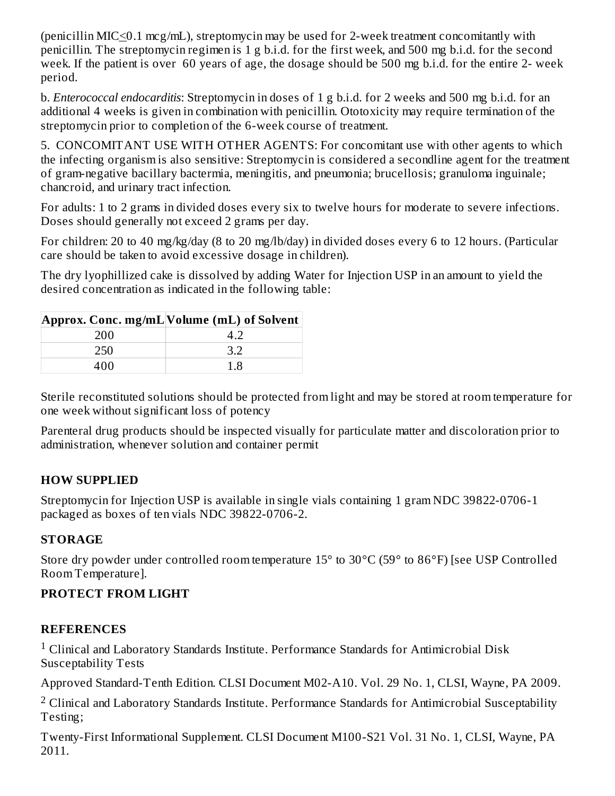(penicillin MIC<0.1 mcg/mL), streptomycin may be used for 2-week treatment concomitantly with penicillin. The streptomycin regimen is 1 g b.i.d. for the first week, and 500 mg b.i.d. for the second week. If the patient is over 60 years of age, the dosage should be 500 mg b.i.d. for the entire 2- week period.

b. *Enterococcal endocarditis*: Streptomycin in doses of 1 g b.i.d. for 2 weeks and 500 mg b.i.d. for an additional 4 weeks is given in combination with penicillin. Ototoxicity may require termination of the streptomycin prior to completion of the 6-week course of treatment.

5. CONCOMITANT USE WITH OTHER AGENTS: For concomitant use with other agents to which the infecting organism is also sensitive: Streptomycin is considered a secondline agent for the treatment of gram-negative bacillary bactermia, meningitis, and pneumonia; brucellosis; granuloma inguinale; chancroid, and urinary tract infection.

For adults: 1 to 2 grams in divided doses every six to twelve hours for moderate to severe infections. Doses should generally not exceed 2 grams per day.

For children: 20 to 40 mg/kg/day (8 to 20 mg/lb/day) in divided doses every 6 to 12 hours. (Particular care should be taken to avoid excessive dosage in children).

The dry lyophillized cake is dissolved by adding Water for Injection USP in an amount to yield the desired concentration as indicated in the following table:

|     | Approx. Conc. mg/mL Volume (mL) of Solvent |
|-----|--------------------------------------------|
| 200 |                                            |
| 250 | 3.2                                        |
| 400 | 1 R                                        |

Sterile reconstituted solutions should be protected from light and may be stored at room temperature for one week without significant loss of potency

Parenteral drug products should be inspected visually for particulate matter and discoloration prior to administration, whenever solution and container permit

#### **HOW SUPPLIED**

Streptomycin for Injection USP is available in single vials containing 1 gram NDC 39822-0706-1 packaged as boxes of ten vials NDC 39822-0706-2.

#### **STORAGE**

Store dry powder under controlled room temperature 15° to 30°C (59° to 86°F) [see USP Controlled Room Temperature].

#### **PROTECT FROM LIGHT**

#### **REFERENCES**

<sup>1</sup> Clinical and Laboratory Standards Institute. Performance Standards for Antimicrobial Disk Susceptability Tests

Approved Standard-Tenth Edition. CLSI Document M02-A10. Vol. 29 No. 1, CLSI, Wayne, PA 2009.

 $2$  Clinical and Laboratory Standards Institute. Performance Standards for Antimicrobial Susceptability Testing;

Twenty-First Informational Supplement. CLSI Document M100-S21 Vol. 31 No. 1, CLSI, Wayne, PA 2011.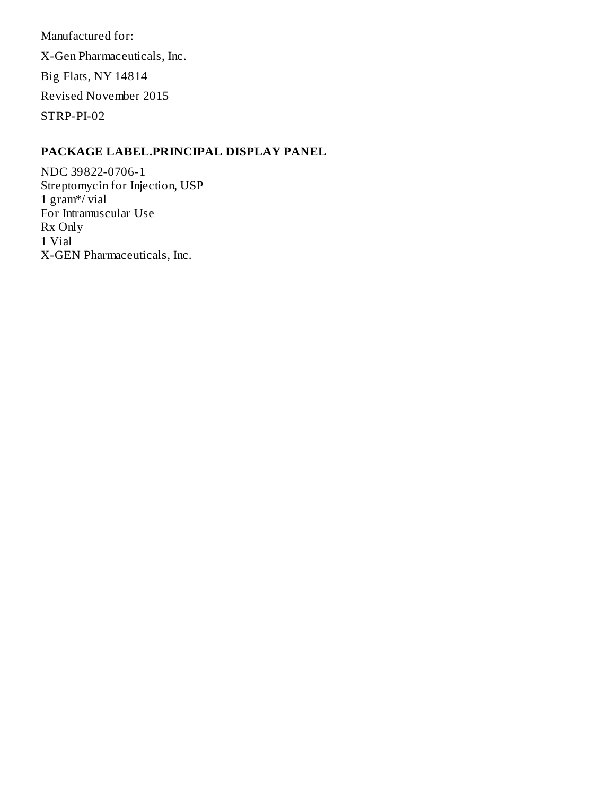Manufactured for: X-Gen Pharmaceuticals, Inc. Big Flats, NY 14814 Revised November 2015 STRP-PI-02

#### **PACKAGE LABEL.PRINCIPAL DISPLAY PANEL**

NDC 39822-0706-1 Streptomycin for Injection, USP 1 gram\*/ vial For Intramuscular Use Rx Only 1 Vial X-GEN Pharmaceuticals, Inc.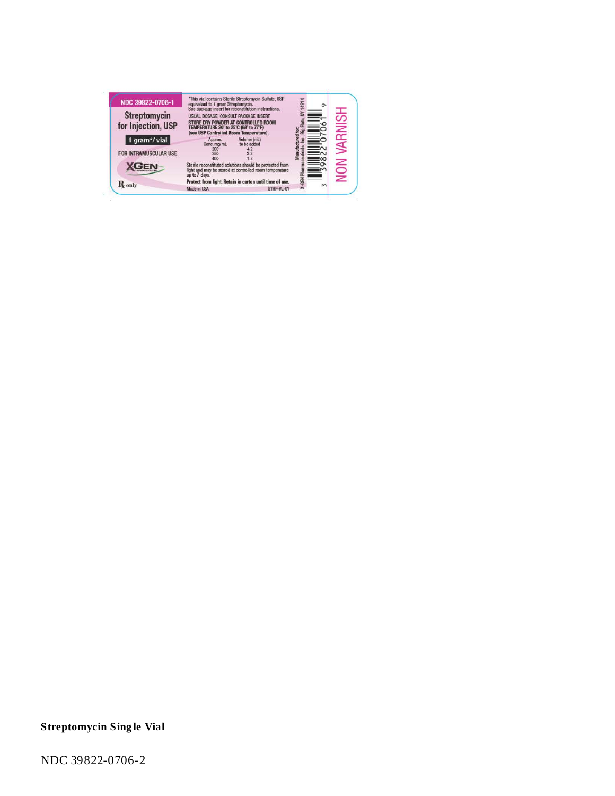| NDC 39822-0706-1                   | "This vial contains Sterile Streptomycin Sulfate, USP<br>equivelant to 1 gram Streptomycin.<br>See package insert for reconstitution instructions.                    | 嵒<br>$\sigma$ |
|------------------------------------|-----------------------------------------------------------------------------------------------------------------------------------------------------------------------|---------------|
| Streptomycin<br>for Injection, USP | USUAL DOSAGE: CONSULT PACKAGE INSERT<br>STORE DRY POWDER AT CONTROLLED ROOM<br>TEMPERATURE 20° to 25°C (68° to 77°F)<br><b>[see USP Controlled Room Temperature].</b> | ៵             |
| 1 gram*/vial                       | Volume (mL)<br>Approx.<br>Conc. mg/mL<br>to be added<br>$\frac{4.2}{3.2}$<br>200                                                                                      |               |
| <b>FOR INTRAMUSCULAR USE</b>       | 250<br>1.8<br>400                                                                                                                                                     |               |
|                                    | Stenle reconstituted solutions should be protected from<br>light and may be stored at controlled room temperature<br>up to 7 days.                                    | X-GEN Pha     |
| R <sub>only</sub>                  | Protect from light. Retain in carton until time of use.                                                                                                               | $\sim$        |
|                                    | Made in USA<br>STRP-VL-01                                                                                                                                             |               |

# **Streptomycin Sing le Vial**

NDC 39822-0706-2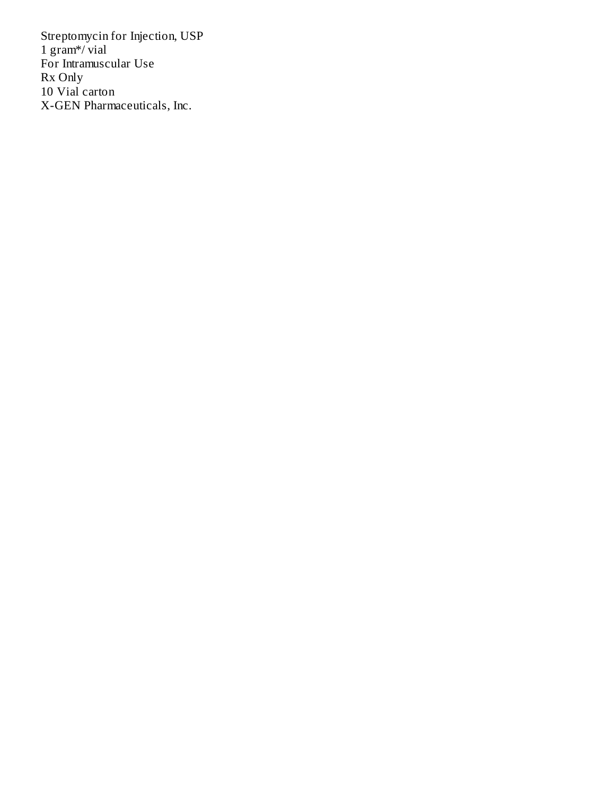Streptomycin for Injection, USP 1 gram\*/ vial For Intramuscular Use Rx Only 10 Vial carton X-GEN Pharmaceuticals, Inc.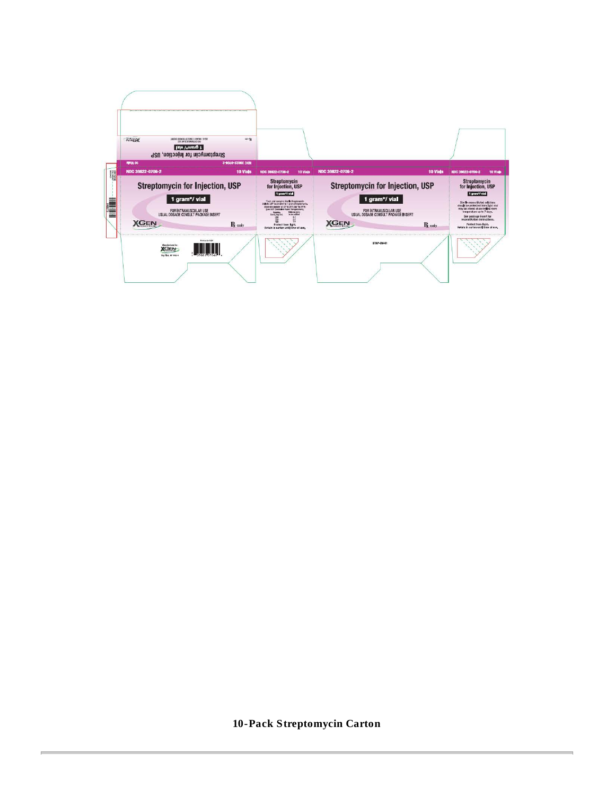

**10-Pack Streptomycin Carton**